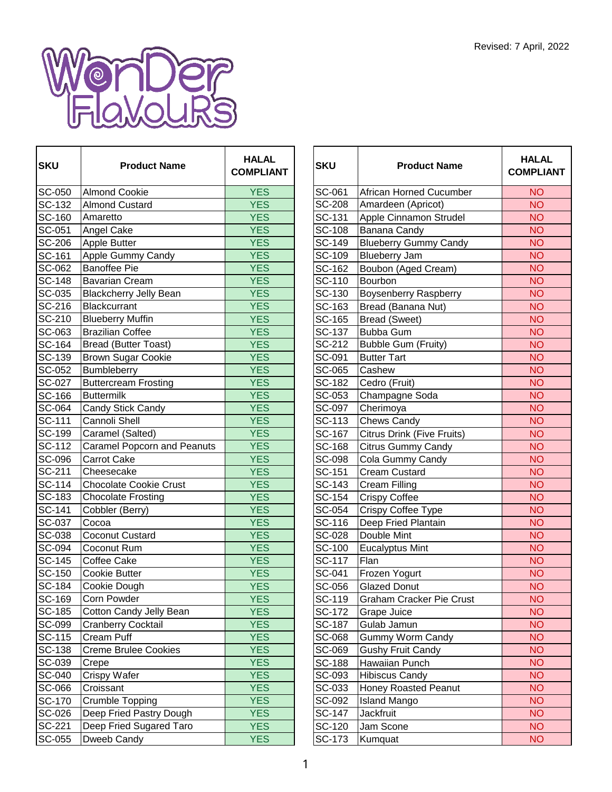

г

| <b>SKU</b>                  | <b>Product Name</b>                | <b>HALAL</b><br><b>COMPLIANT</b> | <b>SKU</b>    | <b>Product Name</b>               | HAL/<br><b>COMPL</b> |
|-----------------------------|------------------------------------|----------------------------------|---------------|-----------------------------------|----------------------|
| SC-050                      | <b>Almond Cookie</b>               | <b>YES</b>                       | SC-061        | African Horned Cucumber           | <b>NO</b>            |
| SC-132                      | <b>Almond Custard</b>              | <b>YES</b>                       | <b>SC-208</b> | Amardeen (Apricot)                | <b>NO</b>            |
| <b>SC-160</b>               | Amaretto                           | <b>YES</b>                       | SC-131        | Apple Cinnamon Strudel            | <b>NO</b>            |
| SC-051                      | Angel Cake                         | <b>YES</b>                       | SC-108        | Banana Candy                      | <b>NO</b>            |
| <b>SC-206</b>               | Apple Butter                       | <b>YES</b>                       | SC-149        | <b>Blueberry Gummy Candy</b>      | <b>NO</b>            |
| SC-161                      | Apple Gummy Candy                  | <b>YES</b>                       | SC-109        | <b>Blueberry Jam</b>              | <b>NO</b>            |
| SC-062                      | <b>Banoffee Pie</b>                | <b>YES</b>                       | SC-162        | Boubon (Aged Cream)               | <b>NO</b>            |
| <b>SC-148</b>               | <b>Bavarian Cream</b>              | <b>YES</b>                       | SC-110        | Bourbon                           | <b>NO</b>            |
| $SC-035$                    | <b>Blackcherry Jelly Bean</b>      | <b>YES</b>                       | SC-130        | <b>Boysenberry Raspberry</b>      | <b>NO</b>            |
| SC-216                      | Blackcurrant                       | <b>YES</b>                       | SC-163        | Bread (Banana Nut)                | <b>NO</b>            |
| SC-210                      | <b>Blueberry Muffin</b>            | <b>YES</b>                       | SC-165        | <b>Bread (Sweet)</b>              | <b>NO</b>            |
| SC-063                      | <b>Brazilian Coffee</b>            | <b>YES</b>                       | SC-137        | <b>Bubba Gum</b>                  | <b>NO</b>            |
| SC-164                      | <b>Bread (Butter Toast)</b>        | <b>YES</b>                       | SC-212        | <b>Bubble Gum (Fruity)</b>        | <b>NO</b>            |
| SC-139                      | <b>Brown Sugar Cookie</b>          | <b>YES</b>                       | SC-091        | <b>Butter Tart</b>                | <b>NO</b>            |
| SC-052                      | Bumbleberry                        | <b>YES</b>                       | SC-065        | Cashew                            | <b>NO</b>            |
| <b>SC-027</b>               | <b>Buttercream Frosting</b>        | <b>YES</b>                       | SC-182        | Cedro (Fruit)                     | <b>NO</b>            |
| <b>SC-166</b>               | <b>Buttermilk</b>                  | <b>YES</b>                       | SC-053        | Champagne Soda                    | <b>NO</b>            |
| SC-064                      | Candy Stick Candy                  | <b>YES</b>                       | SC-097        | Cherimoya                         | <b>NO</b>            |
| SC-111                      | Cannoli Shell                      | <b>YES</b>                       | SC-113        | <b>Chews Candy</b>                | <b>NO</b>            |
| <b>SC-199</b>               | Caramel (Salted)                   | <b>YES</b>                       | SC-167        | <b>Citrus Drink (Five Fruits)</b> | <b>NO</b>            |
| SC-112                      | <b>Caramel Popcorn and Peanuts</b> | <b>YES</b>                       | SC-168        | <b>Citrus Gummy Candy</b>         | <b>NO</b>            |
| <b>SC-096</b>               | Carrot Cake                        | <b>YES</b>                       | SC-098        | Cola Gummy Candy                  | <b>NO</b>            |
| SC-211                      | Cheesecake                         | <b>YES</b>                       | SC-151        | <b>Cream Custard</b>              | <b>NO</b>            |
| <b>SC-114</b>               | <b>Chocolate Cookie Crust</b>      | <b>YES</b>                       | SC-143        | <b>Cream Filling</b>              | <b>NO</b>            |
| <b>SC-183</b>               | <b>Chocolate Frosting</b>          | <b>YES</b>                       | SC-154        | <b>Crispy Coffee</b>              | <b>NO</b>            |
| $\overline{\text{SC}}$ -141 | Cobbler (Berry)                    | <b>YES</b>                       | SC-054        | Crispy Coffee Type                | <b>NO</b>            |
| SC-037                      | Cocoa                              | <b>YES</b>                       | SC-116        | Deep Fried Plantain               | <b>NO</b>            |
| SC-038                      | <b>Coconut Custard</b>             | <b>YES</b>                       | SC-028        | Double Mint                       | <b>NO</b>            |
| <b>SC-094</b>               | Coconut Rum                        | <b>YES</b>                       | SC-100        | <b>Eucalyptus Mint</b>            | <b>NO</b>            |
| <b>SC-145</b>               | Coffee Cake                        | <b>YES</b>                       | SC-117        | Flan                              | <b>NO</b>            |
| <b>SC-150</b>               | <b>Cookie Butter</b>               | <b>YES</b>                       | SC-041        | Frozen Yogurt                     | <b>NO</b>            |
| <b>SC-184</b>               | Cookie Dough                       | <b>YES</b>                       | SC-056        | <b>Glazed Donut</b>               | <b>NO</b>            |
| SC-169                      | Corn Powder                        | <b>YES</b>                       | SC-119        | Graham Cracker Pie Crust          | <b>NO</b>            |
| SC-185                      | Cotton Candy Jelly Bean            | <b>YES</b>                       | SC-172        | <b>Grape Juice</b>                | <b>NO</b>            |
| SC-099                      | Cranberry Cocktail                 | <b>YES</b>                       | SC-187        | Gulab Jamun                       | <b>NO</b>            |
| $S$ C-115                   | Cream Puff                         | <b>YES</b>                       | SC-068        | Gummy Worm Candy                  | <b>NO</b>            |
| <b>SC-138</b>               | <b>Creme Brulee Cookies</b>        | <b>YES</b>                       | SC-069        | <b>Gushy Fruit Candy</b>          | <b>NO</b>            |
| SC-039                      | Crepe                              | <b>YES</b>                       | SC-188        | Hawaiian Punch                    | <b>NO</b>            |
| <b>SC-040</b>               | Crispy Wafer                       | <b>YES</b>                       | SC-093        | <b>Hibiscus Candy</b>             | <b>NO</b>            |
| SC-066                      | Croissant                          | <b>YES</b>                       | SC-033        | Honey Roasted Peanut              | <b>NO</b>            |
| <b>SC-170</b>               | Crumble Topping                    | <b>YES</b>                       | SC-092        | <b>Island Mango</b>               | <b>NO</b>            |
| SC-026                      | Deep Fried Pastry Dough            | <b>YES</b>                       | SC-147        | Jackfruit                         | <b>NO</b>            |
| SC-221                      | Deep Fried Sugared Taro            | <b>YES</b>                       | SC-120        | Jam Scone                         | <b>NO</b>            |
| SC-055                      | Dweeb Candy                        | <b>YES</b>                       | SC-173        | Kumquat                           | <b>NO</b>            |

| <b>HALAL</b><br><b>COMPLIANT</b> | <b>SKU</b>       | <b>Product Name</b>                     | <b>HALAL</b><br><b>COMPLIANT</b> |
|----------------------------------|------------------|-----------------------------------------|----------------------------------|
| <b>YES</b>                       | SC-061           | African Horned Cucumber                 | <b>NO</b>                        |
| <b>YES</b>                       | SC-208           | Amardeen (Apricot)                      | <b>NO</b>                        |
| <b>YES</b>                       | SC-131           | Apple Cinnamon Strudel                  | <b>NO</b>                        |
| <b>YES</b>                       | SC-108           | Banana Candy                            | <b>NO</b>                        |
| <b>YES</b>                       | SC-149           | <b>Blueberry Gummy Candy</b>            | <b>NO</b>                        |
| <b>YES</b>                       | SC-109           | <b>Blueberry Jam</b>                    | <b>NO</b>                        |
| <b>YES</b>                       | SC-162           | Boubon (Aged Cream)                     | <b>NO</b>                        |
| <b>YES</b>                       | SC-110           | Bourbon                                 | <b>NO</b>                        |
| <b>YES</b>                       | SC-130           | Boysenberry Raspberry                   | <b>NO</b>                        |
| <b>YES</b>                       | SC-163           | Bread (Banana Nut)                      | <b>NO</b>                        |
| <b>YES</b>                       | SC-165           | <b>Bread (Sweet)</b>                    | <b>NO</b>                        |
| <b>YES</b>                       | SC-137           | <b>Bubba Gum</b>                        | <b>NO</b>                        |
| <b>YES</b>                       | SC-212           | <b>Bubble Gum (Fruity)</b>              | <b>NO</b>                        |
| <b>YES</b>                       | SC-091           | <b>Butter Tart</b>                      | <b>NO</b>                        |
| <b>YES</b>                       | SC-065           | Cashew                                  | <b>NO</b>                        |
| <b>YES</b>                       | SC-182           | Cedro (Fruit)                           | <b>NO</b>                        |
| <b>YES</b>                       | SC-053           | Champagne Soda                          | <b>NO</b>                        |
| <b>YES</b>                       | SC-097           | Cherimoya                               | <b>NO</b>                        |
| <b>YES</b>                       | SC-113           | <b>Chews Candy</b>                      | <b>NO</b>                        |
| <b>YES</b>                       | SC-167           | <b>Citrus Drink (Five Fruits)</b>       | <b>NO</b>                        |
| <b>YES</b>                       | SC-168           | <b>Citrus Gummy Candy</b>               | <b>NO</b>                        |
| <b>YES</b>                       | SC-098           | Cola Gummy Candy                        | <b>NO</b>                        |
| <b>YES</b>                       | SC-151           | <b>Cream Custard</b>                    | <b>NO</b>                        |
| <b>YES</b>                       | SC-143           | <b>Cream Filling</b>                    | <b>NO</b>                        |
| <b>YES</b>                       | SC-154           | <b>Crispy Coffee</b>                    | <b>NO</b>                        |
| <b>YES</b>                       | SC-054           | Crispy Coffee Type                      | <b>NO</b>                        |
| <b>YES</b>                       | SC-116           | Deep Fried Plantain                     | <b>NO</b>                        |
| <b>YES</b>                       | SC-028           | Double Mint                             | <b>NO</b>                        |
| <b>YES</b>                       | SC-100           | <b>Eucalyptus Mint</b>                  | <b>NO</b>                        |
| <b>YES</b>                       | SC-117           | Flan                                    | <b>NO</b>                        |
| <b>YES</b>                       | SC-041           | Frozen Yogurt                           | <b>NO</b>                        |
| <b>YES</b>                       | SC-056           | <b>Glazed Donut</b>                     | <b>NO</b>                        |
| <b>YES</b>                       | SC-119           | Graham Cracker Pie Crust                | <b>NO</b>                        |
| <b>YES</b>                       | SC-172           | Grape Juice                             | <b>NO</b>                        |
| <b>YES</b>                       | SC-187           | Gulab Jamun                             | <b>NO</b>                        |
| <b>YES</b>                       | SC-068           | <b>Gummy Worm Candy</b>                 | <b>NO</b>                        |
| <b>YES</b>                       | SC-069           | Gushy Fruit Candy                       | <b>NO</b>                        |
| <b>YES</b>                       | <b>SC-188</b>    | Hawaiian Punch                          | <b>NO</b><br><b>NO</b>           |
| <b>YES</b>                       | SC-093           | <b>Hibiscus Candy</b>                   |                                  |
| <b>YES</b>                       | SC-033           | Honey Roasted Peanut                    | <b>NO</b>                        |
| <b>YES</b><br><b>YES</b>         | SC-092           | <b>Island Mango</b><br><b>Jackfruit</b> | <b>NO</b><br><b>NO</b>           |
| <b>YES</b>                       | SC-147<br>SC-120 | Jam Scone                               | <b>NO</b>                        |
| <b>YES</b>                       | SC-173           | Kumquat                                 | <b>NO</b>                        |
|                                  |                  |                                         |                                  |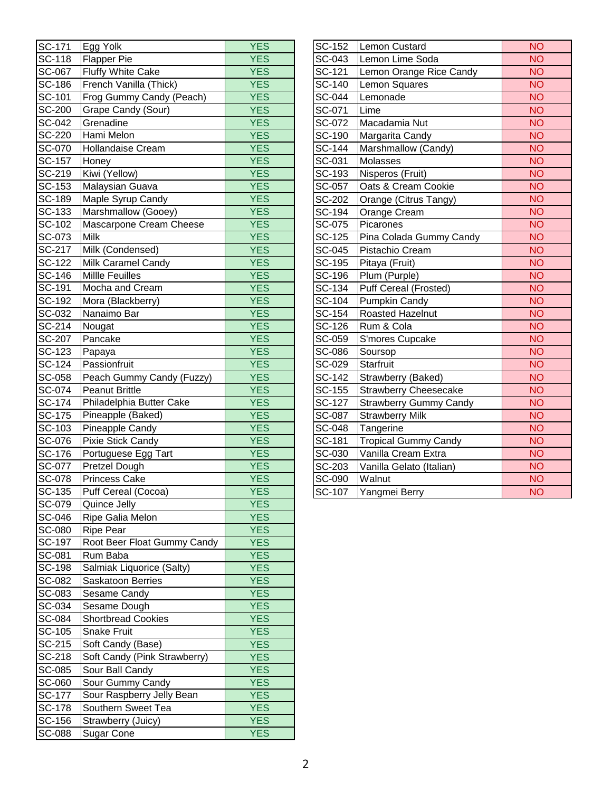| <b>SC-171</b> | Egg Yolk                            | <b>YES</b>      | SC-152   | Lemon Custard                 | <b>NO</b>      |
|---------------|-------------------------------------|-----------------|----------|-------------------------------|----------------|
| SC-118        | <b>Flapper Pie</b>                  | <b>YES</b>      | SC-043   | Lemon Lime Soda               | <b>NO</b>      |
| SC-067        | Fluffy White Cake                   | <b>YES</b>      | SC-121   | Lemon Orange Rice Candy       | <b>NO</b>      |
| SC-186        | French Vanilla (Thick)              | <b>YES</b>      | SC-140   | Lemon Squares                 | <b>NO</b>      |
| SC-101        | Frog Gummy Candy (Peach)            | <b>YES</b>      | SC-044   | Lemonade                      | <b>NO</b>      |
| <b>SC-200</b> | Grape Candy (Sour)                  | <b>YES</b>      | SC-071   | Lime                          | <b>NO</b>      |
| $SC-042$      | Grenadine                           | <b>YES</b>      | SC-072   | Macadamia Nut                 | <b>NO</b>      |
| <b>SC-220</b> | Hami Melon                          | <b>YES</b>      | SC-190   | Margarita Candy               | <b>NO</b>      |
| SC-070        | <b>Hollandaise Cream</b>            | <b>YES</b>      | SC-144   | Marshmallow (Candy)           | <b>NO</b>      |
| SC-157        | Honey                               | <b>YES</b>      | SC-031   | Molasses                      | <b>NO</b>      |
| SC-219        | Kiwi (Yellow)                       | <b>YES</b>      | SC-193   | Nisperos (Fruit)              | <b>NO</b>      |
| SC-153        | Malaysian Guava                     | <b>YES</b>      | SC-057   | Oats & Cream Cookie           | <b>NO</b>      |
| SC-189        | Maple Syrup Candy                   | <b>YES</b>      | SC-202   | Orange (Citrus Tangy)         | <b>NO</b>      |
| SC-133        | Marshmallow (Gooey)                 | <b>YES</b>      | SC-194   | Orange Cream                  | <b>NO</b>      |
| SC-102        | Mascarpone Cream Cheese             | <b>YES</b>      | SC-075   | Picarones                     | <b>NO</b>      |
| SC-073        | <b>Milk</b>                         | <b>YES</b>      | SC-125   | Pina Colada Gummy Candy       | <b>NO</b>      |
| SC-217        | Milk (Condensed)                    | <b>YES</b>      | SC-045   | Pistachio Cream               | <b>NO</b>      |
| SC-122        | Milk Caramel Candy                  | <b>YES</b>      | SC-195   | Pitaya (Fruit)                | <b>NO</b>      |
| SC-146        | <b>Millle Feuilles</b>              | <b>YES</b>      | SC-196   | Plum (Purple)                 | <b>NO</b>      |
| SC-191        | Mocha and Cream                     | <b>YES</b>      | SC-134   | <b>Puff Cereal (Frosted)</b>  | <b>NO</b>      |
| SC-192        | Mora (Blackberry)                   | <b>YES</b>      | SC-104   | Pumpkin Candy                 | <b>NO</b>      |
| SC-032        | Nanaimo Bar                         | <b>YES</b>      | SC-154   | Roasted Hazelnut              | <b>NO</b>      |
| SC-214        | Nougat                              | <b>YES</b>      | SC-126   | Rum & Cola                    | <b>NO</b>      |
| <b>SC-207</b> | Pancake                             | <b>YES</b>      | SC-059   | S'mores Cupcake               | <b>NO</b>      |
| SC-123        | Papaya                              | <b>YES</b>      | SC-086   | Soursop                       | <b>NO</b>      |
| SC-124        | Passionfruit                        | <b>YES</b>      | SC-029   | Starfruit                     | <b>NO</b>      |
| SC-058        | Peach Gummy Candy (Fuzzy)           | <b>YES</b>      | SC-142   | Strawberry (Baked)            | <b>NO</b>      |
| SC-074        | <b>Peanut Brittle</b>               | <b>YES</b>      | SC-155   | <b>Strawberry Cheesecake</b>  | <b>NO</b>      |
| SC-174        | Philadelphia Butter Cake            | <b>YES</b>      | SC-127   | <b>Strawberry Gummy Candy</b> | <b>NO</b>      |
| <b>SC-175</b> | Pineapple (Baked)                   | <b>YES</b>      | SC-087   | <b>Strawberry Milk</b>        | <b>NO</b>      |
| SC-103        | Pineapple Candy                     | <b>YES</b>      | SC-048   | Tangerine                     | <b>NO</b>      |
| SC-076        | Pixie Stick Candy                   | <b>YES</b>      | SC-181   | <b>Tropical Gummy Candy</b>   | <b>NO</b>      |
| <b>SC-176</b> | Portuguese Egg Tart                 | <b>YES</b>      | SC-030   | Vanilla Cream Extra           | <b>NO</b>      |
| SC-077        | Pretzel Dough                       | <b>YES</b>      | SC-203   | Vanilla Gelato (Italian)      | <b>NO</b>      |
| SC-078        | <b>Princess Cake</b>                | <b>YES</b>      | SC-090   | Walnut                        | <b>NO</b>      |
|               | SC-135 Puff Cereal (Cocoa)          | <b>YES</b>      | $SC-107$ | Yangmei Berry                 | N <sub>O</sub> |
| SC-079        | Quince Jelly                        | <b>YES</b>      |          |                               |                |
| SC-046        | Ripe Galia Melon                    | YES <sup></sup> |          |                               |                |
| SC-080        | <b>Ripe Pear</b>                    | <b>YES</b>      |          |                               |                |
| <b>SC-197</b> | Root Beer Float Gummy Candy         | <b>YES</b>      |          |                               |                |
| SC-081        | Rum Baba                            | YES <sup></sup> |          |                               |                |
| <b>SC-198</b> | Salmiak Liquorice (Salty)           | YES <sup></sup> |          |                               |                |
| SC-082        | Saskatoon Berries                   | <b>YES</b>      |          |                               |                |
| SC-083        | Sesame Candy                        | <b>YES</b>      |          |                               |                |
| SC-034        | Sesame Dough                        | <b>YES</b>      |          |                               |                |
| SC-084        | <b>Shortbread Cookies</b>           | <b>YES</b>      |          |                               |                |
| SC-105        | Snake Fruit                         | <b>YES</b>      |          |                               |                |
| SC-215        | Soft Candy (Base)                   | YES.            |          |                               |                |
| SC-218        | Soft Candy (Pink Strawberry)        | <b>YES</b>      |          |                               |                |
| <b>SC-085</b> |                                     | YES <sup></sup> |          |                               |                |
| SC-060        | Sour Ball Candy<br>Sour Gummy Candy | <b>YES</b>      |          |                               |                |
|               |                                     |                 |          |                               |                |
| <b>SC-177</b> | Sour Raspberry Jelly Bean           | <b>YES</b>      |          |                               |                |
| <b>SC-178</b> | Southern Sweet Tea                  | <b>YES</b>      |          |                               |                |
| SC-156        | Strawberry (Juicy)                  | YES.            |          |                               |                |
| <b>SC-088</b> | Sugar Cone                          | <b>YES</b>      |          |                               |                |

| SC-152               | <b>Lemon Custard</b>          | <b>NO</b> |
|----------------------|-------------------------------|-----------|
| SC-043               | Lemon Lime Soda               | <b>NO</b> |
| SC-121               | Lemon Orange Rice Candy       | <b>NO</b> |
| <b>SC-140</b>        | Lemon Squares                 | <b>NO</b> |
| SC-044               | Lemonade                      | <b>NO</b> |
| SC-071               | Lime                          | <b>NO</b> |
| SC-072               | Macadamia Nut                 | <b>NO</b> |
| SC-190               | Margarita Candy               | <b>NO</b> |
| SC-144               | Marshmallow (Candy)           | <b>NO</b> |
| SC-031               | Molasses                      | <b>NO</b> |
| SC-193               | Nisperos (Fruit)              | <b>NO</b> |
| SC-057               | Oats & Cream Cookie           | <b>NO</b> |
| SC-202               | Orange (Citrus Tangy)         | <b>NO</b> |
| SC-194               | Orange Cream                  | <b>NO</b> |
| SC-075               | Picarones                     | <b>NO</b> |
| SC-125               | Pina Colada Gummy Candy       | <b>NO</b> |
| SC-045               | Pistachio Cream               | <b>NO</b> |
| SC-195               | Pitaya (Fruit)                | <b>NO</b> |
| $\overline{SC-196}$  | Plum (Purple)                 | <b>NO</b> |
| $SC-134$             | Puff Cereal (Frosted)         | <b>NO</b> |
| $\overline{SC-104}$  | Pumpkin Candy                 | <b>NO</b> |
| SC-154               | Roasted Hazelnut              | <b>NO</b> |
| $\overline{SC}$ -126 | Rum & Cola                    | <b>NO</b> |
| SC-059               | S'mores Cupcake               | <b>NO</b> |
| SC-086               | Soursop                       | <b>NO</b> |
| SC-029               | <b>Starfruit</b>              | <b>NO</b> |
| SC-142               | Strawberry (Baked)            | <b>NO</b> |
| SC-155               | <b>Strawberry Cheesecake</b>  | <b>NO</b> |
| SC-127               | <b>Strawberry Gummy Candy</b> | <b>NO</b> |
| SC-087               | <b>Strawberry Milk</b>        | <b>NO</b> |
| SC-048               | Tangerine                     | <b>NO</b> |
| SC-181               | <b>Tropical Gummy Candy</b>   | <b>NO</b> |
| SC-030               | Vanilla Cream Extra           | <b>NO</b> |
| SC-203               | Vanilla Gelato (Italian)      | <b>NO</b> |
| SC-090               | Walnut                        | <b>NO</b> |
| SC-107               | Yangmei Berry                 | <b>NO</b> |